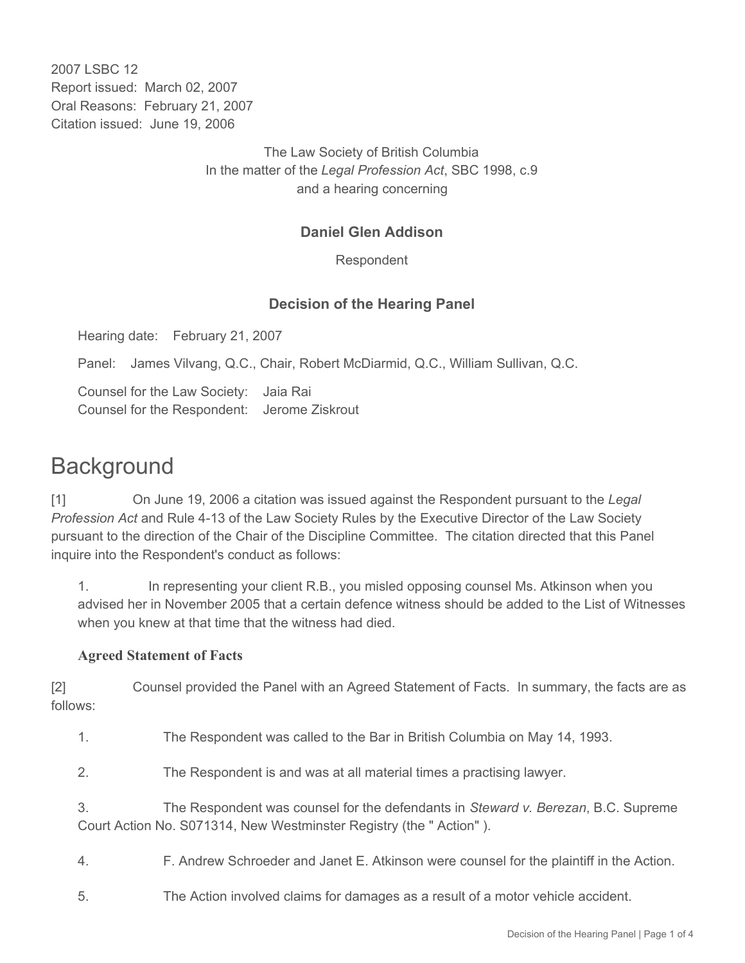2007 LSBC 12 Report issued: March 02, 2007 Oral Reasons: February 21, 2007 Citation issued: June 19, 2006

> The Law Society of British Columbia In the matter of the *Legal Profession Act*, SBC 1998, c.9 and a hearing concerning

## **Daniel Glen Addison**

Respondent

### **Decision of the Hearing Panel**

Hearing date: February 21, 2007

Panel: James Vilvang, Q.C., Chair, Robert McDiarmid, Q.C., William Sullivan, Q.C.

Counsel for the Law Society: Jaia Rai Counsel for the Respondent: Jerome Ziskrout

# **Background**

[1] On June 19, 2006 a citation was issued against the Respondent pursuant to the *Legal Profession Act* and Rule 4-13 of the Law Society Rules by the Executive Director of the Law Society pursuant to the direction of the Chair of the Discipline Committee. The citation directed that this Panel inquire into the Respondent's conduct as follows:

1. In representing your client R.B., you misled opposing counsel Ms. Atkinson when you advised her in November 2005 that a certain defence witness should be added to the List of Witnesses when you knew at that time that the witness had died.

#### **Agreed Statement of Facts**

[2] Counsel provided the Panel with an Agreed Statement of Facts. In summary, the facts are as follows:

1. The Respondent was called to the Bar in British Columbia on May 14, 1993.

2. The Respondent is and was at all material times a practising lawyer.

3. The Respondent was counsel for the defendants in *Steward v. Berezan*, B.C. Supreme Court Action No. S071314, New Westminster Registry (the " Action" ).

4. F. Andrew Schroeder and Janet E. Atkinson were counsel for the plaintiff in the Action.

5. The Action involved claims for damages as a result of a motor vehicle accident.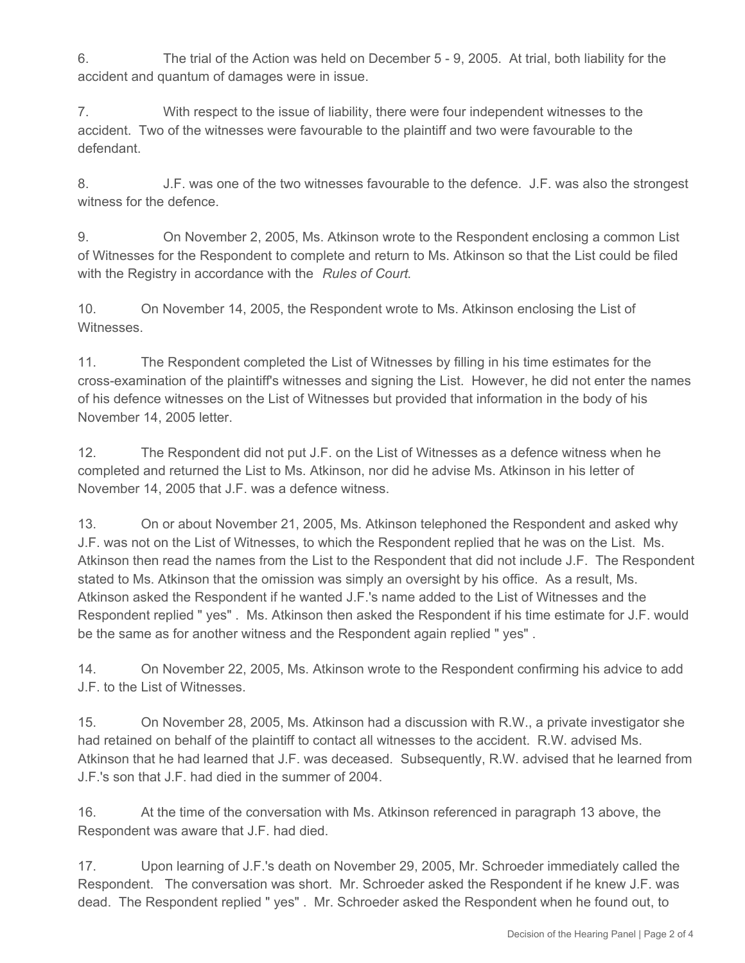6. The trial of the Action was held on December 5 - 9, 2005. At trial, both liability for the accident and quantum of damages were in issue.

7. With respect to the issue of liability, there were four independent witnesses to the accident. Two of the witnesses were favourable to the plaintiff and two were favourable to the defendant.

8. J.F. was one of the two witnesses favourable to the defence. J.F. was also the strongest witness for the defence.

9. On November 2, 2005, Ms. Atkinson wrote to the Respondent enclosing a common List of Witnesses for the Respondent to complete and return to Ms. Atkinson so that the List could be filed with the Registry in accordance with the *Rules of Court*.

10. On November 14, 2005, the Respondent wrote to Ms. Atkinson enclosing the List of Witnesses.

11. The Respondent completed the List of Witnesses by filling in his time estimates for the cross-examination of the plaintiff's witnesses and signing the List. However, he did not enter the names of his defence witnesses on the List of Witnesses but provided that information in the body of his November 14, 2005 letter.

12. The Respondent did not put J.F. on the List of Witnesses as a defence witness when he completed and returned the List to Ms. Atkinson, nor did he advise Ms. Atkinson in his letter of November 14, 2005 that J.F. was a defence witness.

13. On or about November 21, 2005, Ms. Atkinson telephoned the Respondent and asked why J.F. was not on the List of Witnesses, to which the Respondent replied that he was on the List. Ms. Atkinson then read the names from the List to the Respondent that did not include J.F. The Respondent stated to Ms. Atkinson that the omission was simply an oversight by his office. As a result, Ms. Atkinson asked the Respondent if he wanted J.F.'s name added to the List of Witnesses and the Respondent replied " yes" . Ms. Atkinson then asked the Respondent if his time estimate for J.F. would be the same as for another witness and the Respondent again replied " yes" .

14. On November 22, 2005, Ms. Atkinson wrote to the Respondent confirming his advice to add J.F. to the List of Witnesses.

15. On November 28, 2005, Ms. Atkinson had a discussion with R.W., a private investigator she had retained on behalf of the plaintiff to contact all witnesses to the accident. R.W. advised Ms. Atkinson that he had learned that J.F. was deceased. Subsequently, R.W. advised that he learned from J.F.'s son that J.F. had died in the summer of 2004.

16. At the time of the conversation with Ms. Atkinson referenced in paragraph 13 above, the Respondent was aware that J.F. had died.

17. Upon learning of J.F.'s death on November 29, 2005, Mr. Schroeder immediately called the Respondent. The conversation was short. Mr. Schroeder asked the Respondent if he knew J.F. was dead. The Respondent replied " yes" . Mr. Schroeder asked the Respondent when he found out, to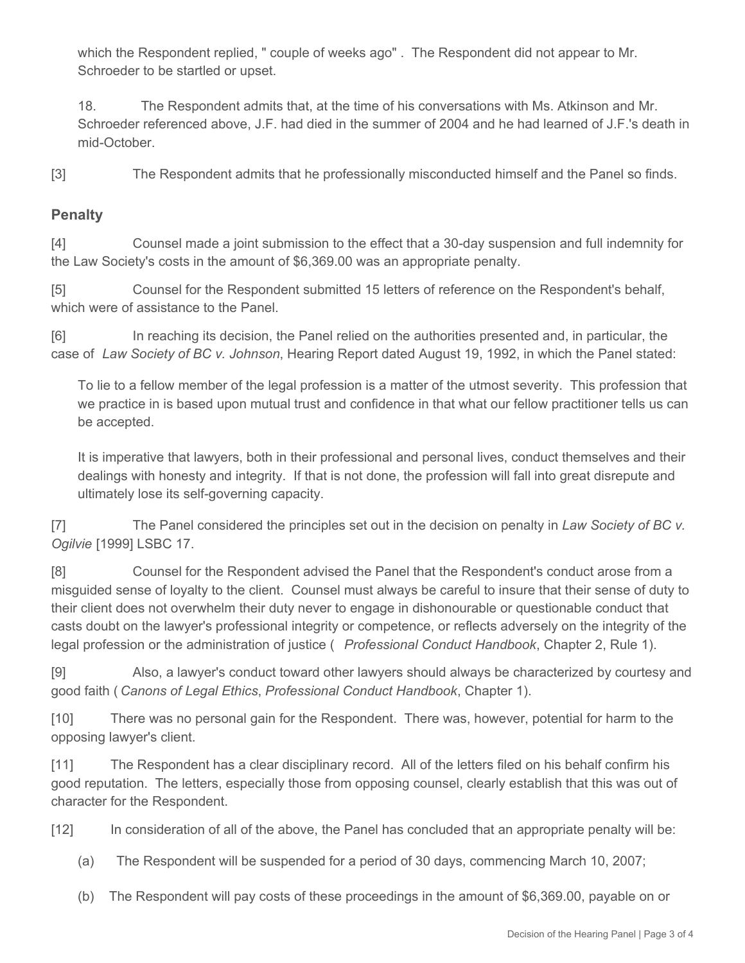which the Respondent replied, " couple of weeks ago" . The Respondent did not appear to Mr. Schroeder to be startled or upset.

18. The Respondent admits that, at the time of his conversations with Ms. Atkinson and Mr. Schroeder referenced above, J.F. had died in the summer of 2004 and he had learned of J.F.'s death in mid-October.

[3] The Respondent admits that he professionally misconducted himself and the Panel so finds.

## **Penalty**

[4] Counsel made a joint submission to the effect that a 30-day suspension and full indemnity for the Law Society's costs in the amount of \$6,369.00 was an appropriate penalty.

[5] Counsel for the Respondent submitted 15 letters of reference on the Respondent's behalf, which were of assistance to the Panel.

[6] In reaching its decision, the Panel relied on the authorities presented and, in particular, the case of *Law Society of BC v. Johnson*, Hearing Report dated August 19, 1992, in which the Panel stated:

To lie to a fellow member of the legal profession is a matter of the utmost severity. This profession that we practice in is based upon mutual trust and confidence in that what our fellow practitioner tells us can be accepted.

It is imperative that lawyers, both in their professional and personal lives, conduct themselves and their dealings with honesty and integrity. If that is not done, the profession will fall into great disrepute and ultimately lose its self-governing capacity.

[7] The Panel considered the principles set out in the decision on penalty in *Law Society of BC v. Ogilvie* [1999] LSBC 17.

[8] Counsel for the Respondent advised the Panel that the Respondent's conduct arose from a misguided sense of loyalty to the client. Counsel must always be careful to insure that their sense of duty to their client does not overwhelm their duty never to engage in dishonourable or questionable conduct that casts doubt on the lawyer's professional integrity or competence, or reflects adversely on the integrity of the legal profession or the administration of justice ( *Professional Conduct Handbook*, Chapter 2, Rule 1).

[9] Also, a lawyer's conduct toward other lawyers should always be characterized by courtesy and good faith ( *Canons of Legal Ethics*, *Professional Conduct Handbook*, Chapter 1).

[10] There was no personal gain for the Respondent. There was, however, potential for harm to the opposing lawyer's client.

[11] The Respondent has a clear disciplinary record. All of the letters filed on his behalf confirm his good reputation. The letters, especially those from opposing counsel, clearly establish that this was out of character for the Respondent.

[12] In consideration of all of the above, the Panel has concluded that an appropriate penalty will be:

- (a) The Respondent will be suspended for a period of 30 days, commencing March 10, 2007;
- (b) The Respondent will pay costs of these proceedings in the amount of \$6,369.00, payable on or